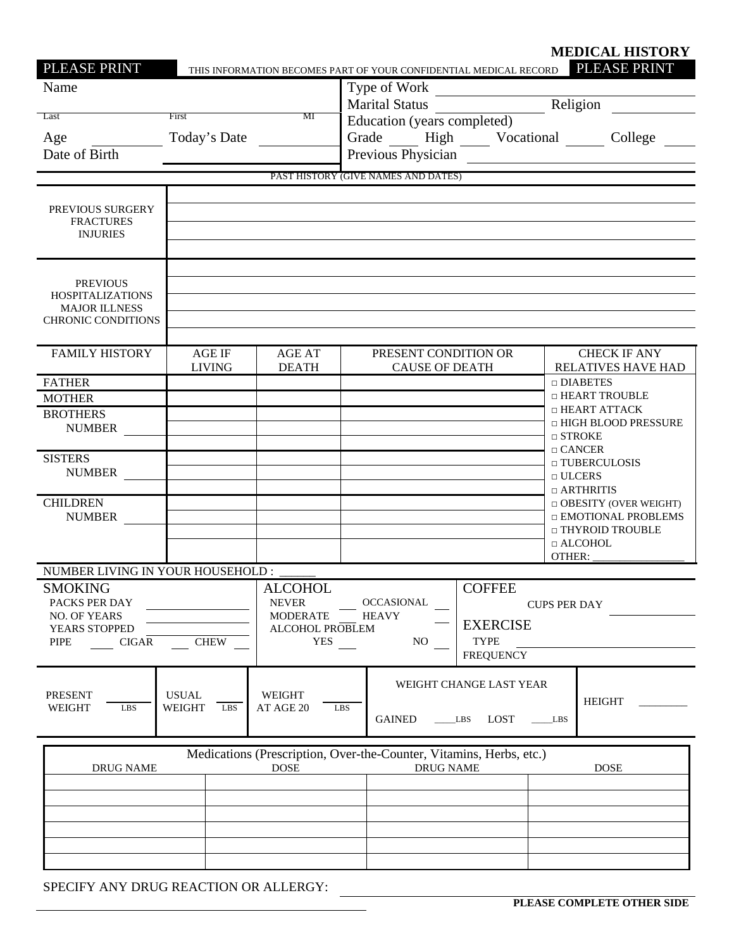| PLEASE PRINT                                                                                                   |                                      |                                                                                                                                           | THIS INFORMATION BECOMES PART OF YOUR CONFIDENTIAL MEDICAL RECORD                       |                                                                                            | <b>MEDICAL HISTORY</b><br>PLEASE PRINT                                                                                                                 |  |
|----------------------------------------------------------------------------------------------------------------|--------------------------------------|-------------------------------------------------------------------------------------------------------------------------------------------|-----------------------------------------------------------------------------------------|--------------------------------------------------------------------------------------------|--------------------------------------------------------------------------------------------------------------------------------------------------------|--|
| Name<br>Last<br>Age<br>Date of Birth                                                                           | First<br>Today's Date                | MI                                                                                                                                        | Education (years completed)                                                             |                                                                                            | Type of Work<br>Marital Status<br>Marital Status<br>2008 - Religion<br>Grade ______ High ______ Vocational _______ College _____<br>Previous Physician |  |
|                                                                                                                |                                      |                                                                                                                                           | PAST HISTORY (GIVE NAMES AND DATES)                                                     |                                                                                            |                                                                                                                                                        |  |
| PREVIOUS SURGERY<br><b>FRACTURES</b><br><b>INJURIES</b>                                                        |                                      |                                                                                                                                           |                                                                                         |                                                                                            |                                                                                                                                                        |  |
| <b>PREVIOUS</b><br><b>HOSPITALIZATIONS</b><br><b>MAJOR ILLNESS</b><br><b>CHRONIC CONDITIONS</b>                |                                      |                                                                                                                                           |                                                                                         |                                                                                            |                                                                                                                                                        |  |
| <b>FAMILY HISTORY</b>                                                                                          | <b>AGE IF</b><br><b>LIVING</b>       | <b>AGE AT</b><br><b>DEATH</b>                                                                                                             | PRESENT CONDITION OR<br><b>CAUSE OF DEATH</b>                                           |                                                                                            | <b>CHECK IF ANY</b><br><b>RELATIVES HAVE HAD</b>                                                                                                       |  |
| <b>FATHER</b><br><b>MOTHER</b><br><b>BROTHERS</b><br><b>NUMBER</b>                                             |                                      |                                                                                                                                           |                                                                                         |                                                                                            | $\Box$ DIABETES<br>□ HEART TROUBLE<br>□ HEART ATTACK<br>□ HIGH BLOOD PRESSURE<br>$\Box$ STROKE                                                         |  |
| <b>SISTERS</b><br><b>NUMBER</b>                                                                                |                                      |                                                                                                                                           |                                                                                         |                                                                                            | $\Box$ CANCER<br>□ TUBERCULOSIS<br>$\Box$ ULCERS<br>$\Box$ ARTHRITIS                                                                                   |  |
| <b>CHILDREN</b><br><b>NUMBER</b>                                                                               |                                      |                                                                                                                                           |                                                                                         |                                                                                            | $\Box$ OBESITY (OVER WEIGHT)<br>□ EMOTIONAL PROBLEMS<br>□ THYROID TROUBLE<br>$\Box$ ALCOHOL                                                            |  |
| NUMBER LIVING IN YOUR HOUSEHOLD :                                                                              |                                      |                                                                                                                                           |                                                                                         |                                                                                            | OTHER:                                                                                                                                                 |  |
| <b>SMOKING</b><br>PACKS PER DAY<br><b>NO. OF YEARS</b><br>YEARS STOPPED<br>PIPE<br><b>CIGAR</b><br><b>CHEW</b> |                                      | <b>ALCOHOL</b><br><b>NEVER</b><br><b>OCCASIONAL</b><br><b>MODERATE</b><br><b>HEAVY</b><br>ALCOHOL PROBLEM<br><b>YES</b><br>N <sub>O</sub> |                                                                                         | <b>COFFEE</b><br><b>CUPS PER DAY</b><br><b>EXERCISE</b><br><b>TYPE</b><br><b>FREQUENCY</b> |                                                                                                                                                        |  |
| <b>PRESENT</b><br>WEIGHT<br>LBS                                                                                | <b>USUAL</b><br><b>WEIGHT</b><br>LBS | WEIGHT<br>AT AGE 20                                                                                                                       | LBS<br><b>GAINED</b>                                                                    | WEIGHT CHANGE LAST YEAR<br>LOST<br>$\perp$ LBS                                             | <b>HEIGHT</b><br>LBS                                                                                                                                   |  |
| <b>DRUG NAME</b>                                                                                               |                                      | <b>DOSE</b>                                                                                                                               | Medications (Prescription, Over-the-Counter, Vitamins, Herbs, etc.)<br><b>DRUG NAME</b> |                                                                                            | <b>DOSE</b>                                                                                                                                            |  |
|                                                                                                                |                                      |                                                                                                                                           |                                                                                         |                                                                                            |                                                                                                                                                        |  |
| SPECIFY ANY DRUG REACTION OR ALLERGY:                                                                          |                                      |                                                                                                                                           |                                                                                         |                                                                                            |                                                                                                                                                        |  |